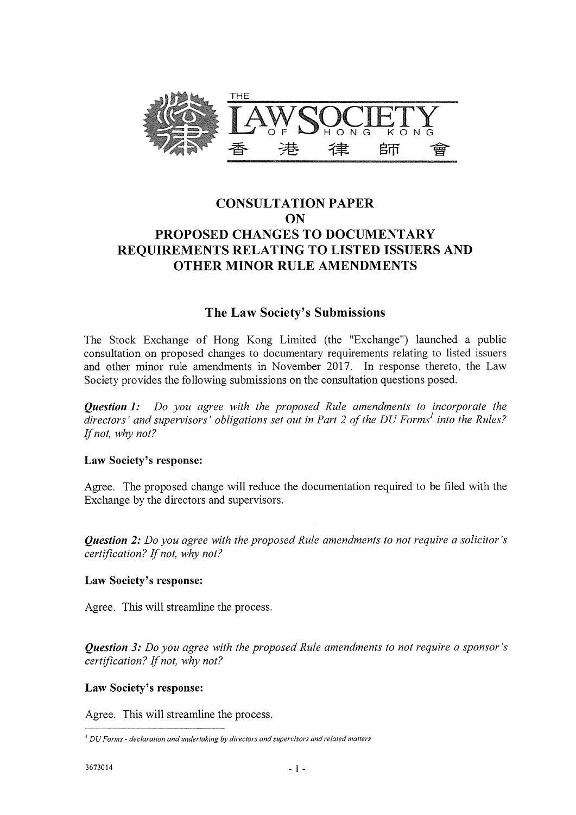

# CONSULTATION PAPER ON PROPOSED CHANGES TO DOCUMENTARY REQUIREMENTS RELATING TO LISTED ISSUERS AND OTHER MINOR RULE AMENDMENTS

## The Law Society's Submissions

The Stock Exchange of Hong Kong Limited (the "Exchange") launched a public consultation on proposed changes to documentary requirements relating to listed issuers and other minor rule amendments in November 2017. In response thereto, the Law Society provides the following submissions on the consultation questions posed.

*Question 1: Do you agree with the proposed Rule amendments to incorporate the directors' and supervisors' obligations set out in Part 2 of the DU Forms' into the Rules? If not, why not?* 

## Law Society's response:

Agree. The proposed change will reduce the documentation required to be filed with the Exchange by the directors and supervisors.

*Question 2: Do you agree with the proposed Rule amendments to not require a solicitor's certification? If not, why not?* 

## Law Society's response:

Agree. This will streamline the process.

*Question 3: Do you agree with the proposed Rule amendments to not require a sponsor's certification? If not, why not?* 

## Law Society's response:

Agree. This will streamline the process.

 $<sup>1</sup>$  DU Forms - declaration and undertaking by directors and supervisors and related matters</sup>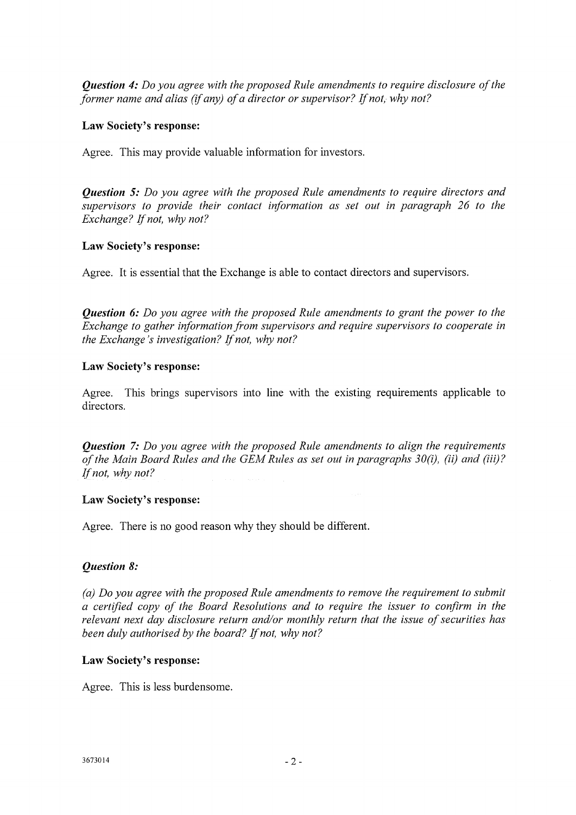*Question 4: Do you agree with the proposed Rule amendments to require disclosure of the former name and alias (if any) of a director or supervisor? If not, why not?* 

#### **Law Society's response:**

Agree. This may provide valuable information for investors.

*Question 5: Do you agree with the proposed Rule amendments to require directors and supervisors to provide their contact information as set out in paragraph 26 to the Exchange? If not, why not?* 

## **Law Society's response:**

Agree. It is essential that the Exchange is able to contact directors and supervisors.

*Question 6: Do you agree with the proposed Rule amendments to grant the power to the Exchange to gather information from supervisors and require supervisors to cooperate in the Exchange's investigation? If not, why not?* 

## **Law Society's response:**

Agree. This brings supervisors into line with the existing requirements applicable to directors.

*Question 7: Do you agree with the proposed Rule amendments to align the requirements of the Main Board Rules and the GEM Rules as set out in paragraphs 30(i), (ii) and (iii)? If not, why not?* 

## **Law Society's response:**

Agree. There is no good reason why they should be different.

## *Question 8:*

*(a) Do you agree with the proposed Rule amendments to remove the requirement to submit a certified copy of the Board Resolutions and to require the issuer to confirm in the relevant next day disclosure return and/or monthly return that the issue of securities has been duly authorised by the board? If not, why not?* 

## **Law Society's response:**

Agree. This is less burdensome.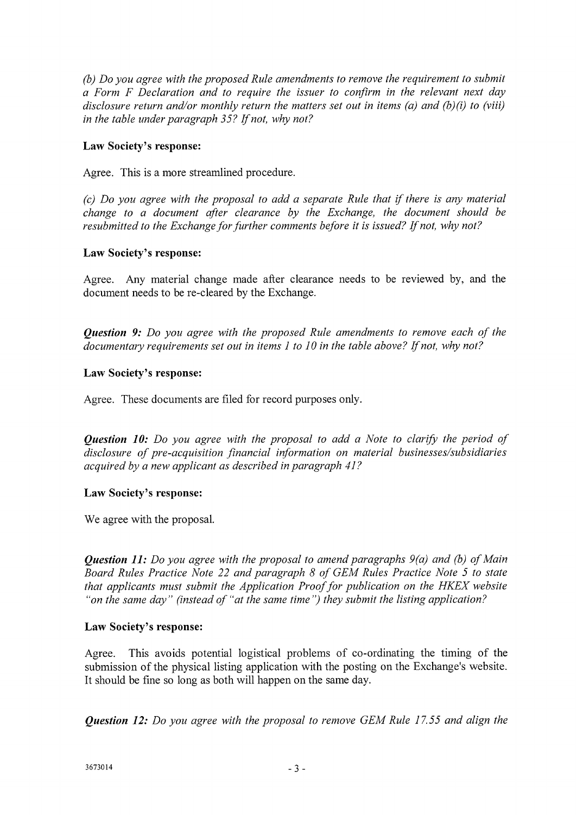*(b) Do you agree with the proposed Rule amendments to remove the requirement to submit a Form F Declaration and to require the issuer to confirm in the relevant next day disclosure return and/or monthly return the matters set out in items (a) and (b)(i) to (viii) in the table under paragraph 35? If not, why not?* 

## Law Society's response:

Agree. This is a more streamlined procedure.

*(c) Do you agree with the proposal to add a separate Rule that if there is any material change to a document after clearance by the Exchange, the document should be resubmitted to the Exchange for further comments before it is issued? If not, why not?* 

## Law Society's response:

Agree. Any material change made after clearance needs to be reviewed by, and the document needs to be re-cleared by the Exchange.

*Question 9: Do you agree with the proposed Rule amendments to remove each of the documentary requirements set out in items 1 to 10 in the table above? If not, why not?* 

## Law Society's response:

Agree. These documents are filed for record purposes only.

*Question 10: Do you agree with the proposal to add a Note to clarify the period of disclosure of pre-acquisition financial information on material businesses/subsidiaries acquired by a new applicant as described in paragraph 41?* 

## Law Society's response:

We agree with the proposal.

*Question 11: Do you agree with the proposal to amend paragraphs 9(a) and (b) of Main Board Rules Practice Note 22 and paragraph 8 of GEM Rules Practice Note 5 to state that applicants must submit the Application Proof for publication on the HKEX website "on the same day" (instead of "at the same time') they submit the listing application?* 

## Law Society's response:

Agree. This avoids potential logistical problems of co-ordinating the timing of the submission of the physical listing application with the posting on the Exchange's website. It should be fine so long as both will happen on the same day.

*Question 12: Do you agree with the proposal to remove GEM Rule 17.55 and align the*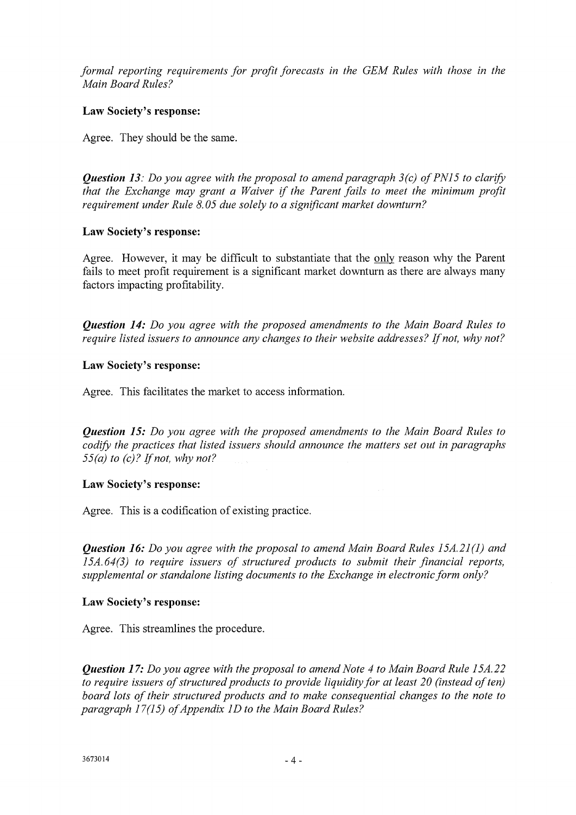*formal reporting requirements for profit forecasts in the GEM Rules with those in the Main Board Rules?* 

## **Law Society's response:**

Agree. They should be the same.

*Question 13: Do you agree with the proposal to amend paragraph 3(c) of PN15 to clarify that the Exchange may grant a Waiver if the Parent fails to meet the minimum profit requirement under Rule 8.05 due solely to a significant market downturn?* 

## **Law Society's response:**

Agree. However, it may be difficult to substantiate that the onlyreason why the Parent fails to meet profit requirement is a significant market downturn as there are always many factors impacting profitability.

*Question 14: Do you agree with the proposed amendments to the Main Board Rules to require listed issuers to announce any changes to their website addresses? If not, why not?* 

## **Law Society's response:**

Agree. This facilitates the market to access information.

*Question 15: Do you agree with the proposed amendments to the Main Board Rules to codify the practices that listed issuers should announce the matters set out in paragraphs 55(a) to (c)? If not, why not?* 

## **Law Society's response:**

Agree. This is a codification of existing practice.

*Question 16: Do you agree with the proposal to amend Main Board Rules 15A.21(1) and 15A. 64(3) to require issuers of structured products to submit their financial reports, supplemental or standalone listing documents to the Exchange in electronic form only?* 

## **Law Society's response:**

Agree. This streamlines the procedure.

*Question 17: Do you agree with the proposal to amend Note 4 to Main Board Rule 15A.22 to require issuers of structured products to provide liquidity for at least 20 (instead of ten) board lots of their structured products and to make consequential changes to the note to paragraph 17(15) of Appendix 1D to the Main Board Rules?*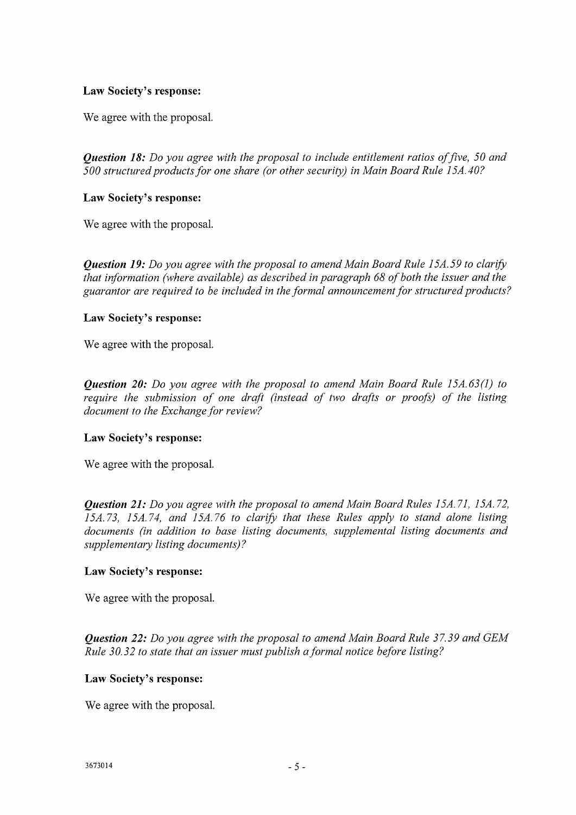## Law Society's response:

We agree with the proposal.

*Question 18: Do you agree with the proposal to include entitlement ratios of five, 50 and 500 structured products for one share (or other security) in Main Board Rule 15A.40?* 

## Law Society's response:

We agree with the proposal.

*Question 19: Do you agree with the proposal to amend Main Board Rule 15A. 59 to clarify that information (where available) as described in paragraph 68 of both the issuer and the guarantor are required to be included in the formal announcement for structured products?* 

## Law Society's response:

We agree with the proposal.

*Question 20: Do you agree with the proposal to amend Main Board Rule 15A.63(1) to require the submission of one draft (instead of two drafts or proofs) of the listing document to the Exchange for review?* 

## Law Society's response:

We agree with the proposal.

*Question 21: Do you agree with the proposal to amend Main Board Rules 15A. 71, 15A. 72, 15A.73, 15A.74, and 15A.76 to clarify that these Rules apply to stand alone listing documents (in addition to base listing documents, supplemental listing documents and supplementary listing documents)?* 

## Law Society's response:

We agree with the proposal.

*Question 22: Do you agree with the proposal to amend Main Board Rule 37.39 and GEM Rule 30.32 to state that an issuer must publish a formal notice before listing?* 

## Law Society's response:

We agree with the proposal.